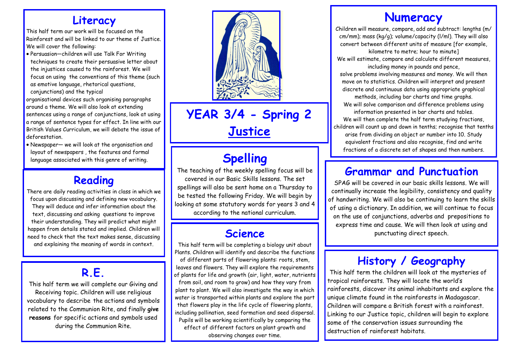#### **Literacy**

This half term our work will be focused on the Rainforest and will be linked to our theme of Justice. We will cover the following:

 Persuasion—children will use Talk For Writing techniques to create their persuasive letter about the injustices caused to the rainforest. We will focus on using the conventions of this theme (such as emotive language, rhetorical questions,

conjunctions) and the typical organisational devices such organising paragraphs around a theme. We will also look at extending sentences using a range of conjunctions, look at using a range of sentence types for effect. In line with our British Values Curriculum, we will debate the issue of deforestation.

 Newspaper— we will look at the organisation and layout of newspapers , the features and formal language associated with this genre of writing.

#### **Reading**

There are daily reading activities in class in which we focus upon discussing and defining new vocabulary. They will deduce and infer information about the text, discussing and asking questions to improve their understanding. They will predict what might happen from details stated and implied. Children will need to check that the text makes sense, discussing and explaining the meaning of words in context.

# **R.E.**

This half term we will complete our Giving and Receiving topic. Children will use religious vocabulary to describe the actions and symbols related to the Communion Rite, and finally **give reasons** for specific actions and symbols used during the Communion Rite.



**YEAR 3/4 - Spring 2 Justice**

# **Spelling**

The teaching of the weekly spelling focus will be covered in our Basic Skills lessons. The set spellings will also be sent home on a Thursday to be tested the following Friday. We will begin by looking at some statutory words for years 3 and 4 according to the national curriculum.

#### **Science**

This half term will be completing a biology unit about Plants. Children will identify and describe the functions of different parts of flowering plants: roots, stem, leaves and flowers. They will explore the requirements of plants for life and growth (air, light, water, nutrients from soil, and room to grow) and how they vary from plant to plant. We will also investigate the way in which water is transported within plants and explore the part that flowers play in the life cycle of flowering plants, including pollination, seed formation and seed dispersal. Pupils will be working scientifically by comparing the effect of different factors on plant growth and observing changes over time.

# **Numeracy**

Children will measure, compare, add and subtract: lengths (m/ cm/mm); mass (kg/g); volume/capacity (l/ml). They will also convert between different units of measure [for example,

kilometre to metre; hour to minute] We will estimate, compare and calculate different measures, including money in pounds and pence,

solve problems involving measures and money. We will then move on to statistics. Children will interpret and present discrete and continuous data using appropriate graphical

methods, including bar charts and time graphs. We will solve comparison and difference problems using information presented in bar charts and tables.

We will then complete the half term studying fractions. children will count up and down in tenths; recognise that tenths arise from dividing an object or number into 10. Study equivalent fractions and also recognise, find and write fractions of a discrete set of shapes and then numbers.

#### **Grammar and Punctuation**

SPAG will be covered in our basic skills lessons. We will continually increase the legibility, consistency and quality of handwriting. We will also be continuing to learn the skills of using a dictionary. In addition, we will continue to focus on the use of conjunctions, adverbs and prepositions to express time and cause. We will then look at using and punctuating direct speech.

### **History / Geography**

This half term the children will look at the mysteries of tropical rainforests. They will locate the world's rainforests, discover its animal inhabitants and explore the unique climate found in the rainforests in Madagascar. Children will compare a British forest with a rainforest. Linking to our Justice topic, children will begin to explore some of the conservation issues surrounding the destruction of rainforest habitats.